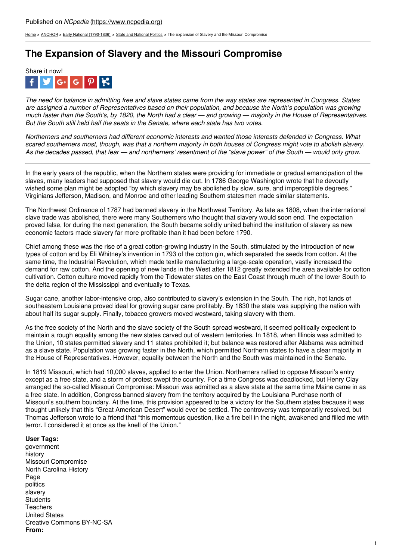[Home](https://www.ncpedia.org/) > [ANCHOR](https://www.ncpedia.org/anchor/anchor) > Early National [\(1790-1836\)](https://www.ncpedia.org/anchor/early-national-1790-1836) > State and [National](https://www.ncpedia.org/anchor/state-and-national-politics) Politics > The Expansion of Slavery and the Missouri Compromise

# **The Expansion of Slavery and the Missouri Compromise**



The need for balance in admitting free and slave states came from the way states are represented in Congress. States are assigned a number of Representatives based on their population, and because the North's population was growing much faster than the South's, by 1820, the North had a clear - and growing - majority in the House of Representatives. *But the South still held half the seats in the Senate, where each state has two votes.*

*Northerners and southerners had different economic interests and wanted those interests defended in Congress. What* scared southerners most, though, was that a northern majority in both houses of Congress might vote to abolish slavery. As the decades passed, that fear — and northerners' resentment of the "slave power" of the South — would only grow.

In the early years of the republic, when the Northern states were providing for immediate or gradual emancipation of the slaves, many leaders had supposed that [slavery](http://www.social9.com) would die out. In 1786 George Washington wrote that he devoutly wished some plan might be adopted "by which slavery may be abolished by slow, sure, and imperceptible degrees." Virginians Jefferson, Madison, and Monroe and other leading Southern statesmen made similar statements.

The Northwest Ordinance of 1787 had banned slavery in the Northwest Territory. As late as 1808, when the international slave trade was abolished, there were many Southerners who thought that slavery would soon end. The expectation proved false, for during the next generation, the South became solidly united behind the institution of slavery as new economic factors made slavery far more profitable than it had been before 1790.

Chief among these was the rise of a great cotton-growing industry in the South, stimulated by the introduction of new types of cotton and by Eli Whitney's invention in 1793 of the cotton gin, which separated the seeds from cotton. At the same time, the Industrial Revolution, which made textile manufacturing a large-scale operation, vastly increased the demand for raw cotton. And the opening of new lands in the West after 1812 greatly extended the area available for cotton cultivation. Cotton culture moved rapidly from the Tidewater states on the East Coast through much of the lower South to the delta region of the Mississippi and eventually to Texas.

Sugar cane, another labor-intensive crop, also contributed to slavery's extension in the South. The rich, hot lands of southeastern Louisiana proved ideal for growing sugar cane profitably. By 1830 the state was supplying the nation with about half its sugar supply. Finally, tobacco growers moved westward, taking slavery with them.

As the free society of the North and the slave society of the South spread westward, it seemed politically expedient to maintain a rough equality among the new states carved out of western territories. In 1818, when Illinois was admitted to the Union, 10 states permitted slavery and 11 states prohibited it; but balance was restored after Alabama was admitted as a slave state. Population was growing faster in the North, which permitted Northern states to have a clear majority in the House of Representatives. However, equality between the North and the South was maintained in the Senate.

In 1819 Missouri, which had 10,000 slaves, applied to enter the Union. Northerners rallied to oppose Missouri's entry except as a free state, and a storm of protest swept the country. For a time Congress was deadlocked, but Henry Clay arranged the so-called Missouri Compromise: Missouri was admitted as a slave state at the same time Maine came in as a free state. In addition, Congress banned slavery from the territory acquired by the Louisiana Purchase north of Missouri's southern boundary. At the time, this provision appeared to be a victory for the Southern states because it was thought unlikely that this "Great American Desert" would ever be settled. The controversy was temporarily resolved, but Thomas Jefferson wrote to a friend that "this momentous question, like a fire bell in the night, awakened and filled me with terror. I considered it at once as the knell of the Union."

### **User Tags:**

government history Missouri Compromise North Carolina History Page politics slavery **Students Teachers** United States Creative Commons BY-NC-SA **From:**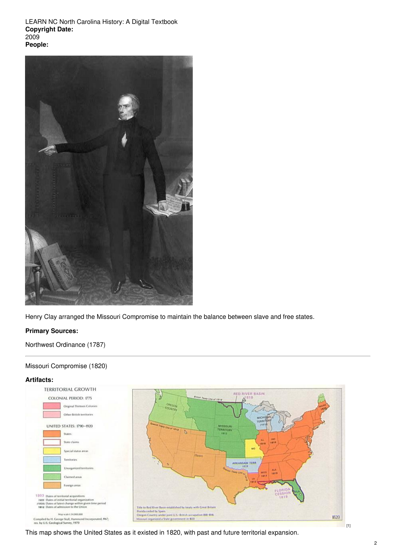LEARN NC North Carolina History: A Digital Textbook **Copyright Date:** 2009 **People:**



Henry Clay arranged the Missouri Compromise to maintain the balance between slave and free states.

# **Primary Sources:**

Northwest Ordinance (1787)

### Missouri Compromise (1820)

# **Artifacts:**



This map shows the United States as it existed in 1820, with past and future territorial expansion.